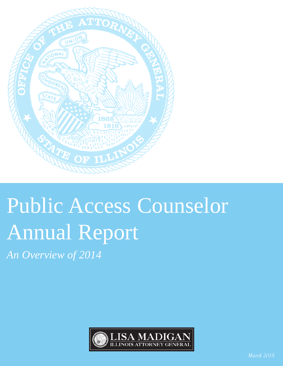

# Public Access Counselor Annual Report

*An Overview of 2014*

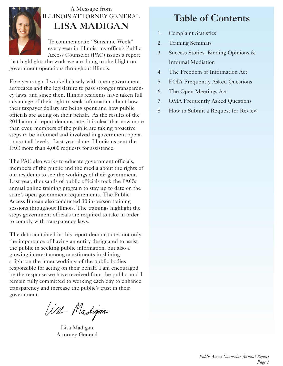

## A Message from ILLINOIS ATTORNEY GENERAL **LISA MADIGAN**

To commemorate "Sunshine Week" every year in Illinois, my office's Public Access Counselor (PAC) issues a report

that highlights the work we are doing to shed light on government operations throughout Illinois.

Five years ago, I worked closely with open government advocates and the legislature to pass stronger transparency laws, and since then, Illinois residents have taken full advantage of their right to seek information about how their taxpayer dollars are being spent and how public officials are acting on their behalf. As the results of the 2014 annual report demonstrate, it is clear that now more than ever, members of the public are taking proactive steps to be informed and involved in government operations at all levels. Last year alone, Illinoisans sent the PAC more than 4,000 requests for assistance.

The PAC also works to educate government officials, members of the public and the media about the rights of our residents to see the workings of their government. Last year, thousands of public officials took the PAC's annual online training program to stay up to date on the state's open government requirements. The Public Access Bureau also conducted 30 in-person training sessions throughout Illinois. The trainings highlight the steps government officials are required to take in order to comply with transparency laws.

The data contained in this report demonstrates not only the importance of having an entity designated to assist the public in seeking public information, but also a growing interest among constituents in shining a light on the inner workings of the public bodies responsible for acting on their behalf. I am encouraged by the response we have received from the public, and I remain fully committed to working each day to enhance transparency and increase the public's trust in their government.

West Madigar

Lisa Madigan Attorney General

## **Table of Contents**

- 1. Complaint Statistics
- 2. Training Seminars
- 3. Success Stories: Binding Opinions & Informal Mediation
- 4. The Freedom of Information Act
- 5. FOIA Frequently Asked Questions
- 6. The Open Meetings Act
- 7. OMA Frequently Asked Questions
- 8. How to Submit a Request for Review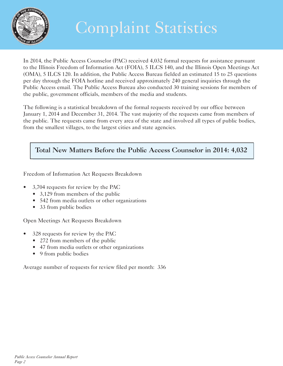

## Complaint Statistics

In 2014, the Public Access Counselor (PAC) received 4,032 formal requests for assistance pursuant to the Illinois Freedom of Information Act (FOIA), 5 ILCS 140, and the Illinois Open Meetings Act (OMA), 5 ILCS 120. In addition, the Public Access Bureau fielded an estimated 15 to 25 questions per day through the FOIA hotline and received approximately 240 general inquiries through the Public Access email. The Public Access Bureau also conducted 30 training sessions for members of the public, government officials, members of the media and students.

The following is a statistical breakdown of the formal requests received by our office between January 1, 2014 and December 31, 2014. The vast majority of the requests came from members of the public. The requests came from every area of the state and involved all types of public bodies, from the smallest villages, to the largest cities and state agencies.

## **Total New Matters Before the Public Access Counselor in 2014: 4,032**

Freedom of Information Act Requests Breakdown

- 3,704 requests for review by the PAC
	- 3,129 from members of the public
	- 542 from media outlets or other organizations
	- 33 from public bodies

Open Meetings Act Requests Breakdown

- 328 requests for review by the PAC
	- 272 from members of the public
	- 47 from media outlets or other organizations
	- 9 from public bodies

Average number of requests for review filed per month: 336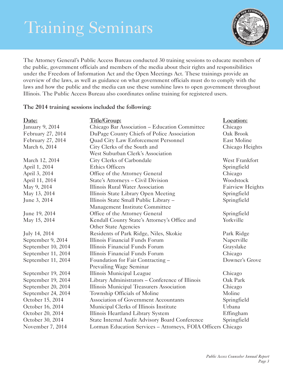## Training Seminars



The Attorney General's Public Access Bureau conducted 30 training sessions to educate members of the public, government officials and members of the media about their rights and responsibilities under the Freedom of Information Act and the Open Meetings Act. These trainings provide an overview of the laws, as well as guidance on what government officials must do to comply with the laws and how the public and the media can use these sunshine laws to open government throughout Illinois. The Public Access Bureau also coordinates online training for registered users.

#### **The 2014 training sessions included the following:**

| Date:                  | Title/Group:                                                 | Location:               |
|------------------------|--------------------------------------------------------------|-------------------------|
| <b>January 9, 2014</b> | Chicago Bar Association – Education Committee                | Chicago                 |
| February 27, 2014      | DuPage County Chiefs of Police Association                   | Oak Brook               |
| February 27, 2014      | Quad City Law Enforcement Personnel                          | East Moline             |
| March 6, 2014          | City Clerks of the South and                                 | Chicago Heights         |
|                        | West Suburban Clerk's Association                            |                         |
| March 12, 2014         | City Clerks of Carbondale                                    | West Frankfort          |
| April 1, 2014          | <b>Ethics Officers</b>                                       | Springfield             |
| April 3, 2014          | Office of the Attorney General                               | Chicago                 |
| April 11, 2014         | State's Attorneys - Civil Division                           | Woodstock               |
| May 9, 2014            | Illinois Rural Water Association                             | <b>Fairview Heights</b> |
| May 13, 2014           | Illinois State Library Open Meeting                          | Springfield             |
| June 3, 2014           | Illinois State Small Public Library -                        | Springfield             |
|                        | Management Institute Committee                               |                         |
| June 19, 2014          | Office of the Attorney General                               | Springfield             |
| May 15, 2014           | Kendall County State's Attorney's Office and                 | Yorkville               |
|                        | Other State Agencies                                         |                         |
| July 14, 2014          | Residents of Park Ridge, Niles, Skokie                       | Park Ridge              |
| September 9, 2014      | Illinois Financial Funds Forum                               | Naperville              |
| September 10, 2014     | Illinois Financial Funds Forum                               | Grayslake               |
| September 11, 2014     | Illinois Financial Funds Forum                               | Chicago                 |
| September 11, 2014     | Foundation for Fair Contracting -                            | Downer's Grove          |
|                        | Prevailing Wage Seminar                                      |                         |
| September 19, 2014     | Illinois Municipal League                                    | Chicago                 |
| September 19, 2014     | Library Administrators - Conference of Illinois              | Oak Park                |
| September 20, 2014     | Illinois Municipal Treasurers Association                    | Chicago                 |
| September 24, 2014     | Township Officials of Moline                                 | Moline                  |
| October 15, 2014       | Association of Government Accountants                        | Springfield             |
| October 16, 2014       | Municipal Clerks of Illinois Institute                       | Urbana                  |
| October 20, 2014       | Illinois Heartland Library System                            | Effingham               |
| October 30, 2014       | State Internal Audit Advisory Board Conference               | Springfield             |
| November 7, 2014       | Lorman Education Services - Attorneys, FOIA Officers Chicago |                         |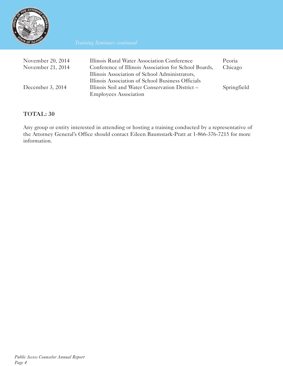

| November 20, 2014<br>November 21, 2014 | Illinois Rural Water Association Conference<br>Conference of Illinois Association for School Boards,<br>Illinois Association of School Administrators, | Peoria<br>Chicago |
|----------------------------------------|--------------------------------------------------------------------------------------------------------------------------------------------------------|-------------------|
| December 3, 2014                       | Illinois Association of School Business Officials<br>Illinois Soil and Water Conservation District –<br><b>Employees Association</b>                   | Springfield       |

## **TOTAL: 30**

Any group or entity interested in attending or hosting a training conducted by a representative of the Attorney General's Office should contact Eileen Baumstark-Pratt at 1-866-376-7215 for more information.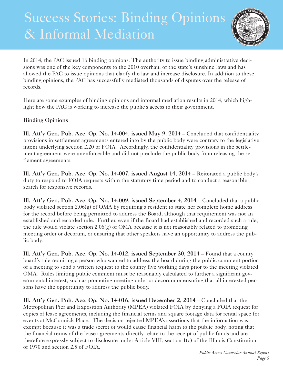## Success Stories: Binding Opinions & Informal Mediation



In 2014, the PAC issued 16 binding opinions. The authority to issue binding administrative decisions was one of the key components to the 2010 overhaul of the state's sunshine laws and has allowed the PAC to issue opinions that clarify the law and increase disclosure. In addition to these binding opinions, the PAC has successfully mediated thousands of disputes over the release of records.

Here are some examples of binding opinions and informal mediation results in 2014, which highlight how the PAC is working to increase the public's access to their government.

## **Binding Opinions**

**Ill. Att'y Gen. Pub. Acc. Op. No. 14-004, issued May 9, 2014** – Concluded that confidentiality provisions in settlement agreements entered into by the public body were contrary to the legislative intent underlying section 2.20 of FOIA. Accordingly, the confidentiality provisions in the settlement agreement were unenforceable and did not preclude the public body from releasing the settlement agreements.

**Ill. Att'y Gen. Pub. Acc. Op. No. 14-007, issued August 14, 2014** – Reiterated a public body's duty to respond to FOIA requests within the statutory time period and to conduct a reasonable search for responsive records.

**Ill. Att'y Gen. Pub. Acc. Op. No. 14-009, issued September 4, 2014** – Concluded that a public body violated section  $2.06(g)$  of OMA by requiring a resident to state her complete home address for the record before being permitted to address the Board, although that requirement was not an established and recorded rule. Further, even if the Board had established and recorded such a rule, the rule would violate section 2.06(g) of OMA because it is not reasonably related to promoting meeting order or decorum, or ensuring that other speakers have an opportunity to address the public body.

**Ill. Att'y Gen. Pub. Acc. Op. No. 14-012, issued September 30, 2014** – Found that a county board's rule requiring a person who wanted to address the board during the public comment portion of a meeting to send a written request to the county five working days prior to the meeting violated OMA. Rules limiting public comment must be reasonably calculated to further a significant governmental interest, such as promoting meeting order or decorum or ensuring that all interested persons have the opportunity to address the public body.

**Ill. Att'y Gen. Pub. Acc. Op. No. 14-016, issued December 2, 2014** – Concluded that the Metropolitan Pier and Exposition Authority (MPEA) violated FOIA by denying a FOIA request for copies of lease agreements, including the financial terms and square footage data for rental space for events at McCormick Place. The decision rejected MPEA's assertions that the information was exempt because it was a trade secret or would cause financial harm to the public body, noting that the financial terms of the lease agreements directly relate to the receipt of public funds and are therefore expressly subject to disclosure under Article VIII, section 1(c) of the Illinois Constitution of 1970 and section 2.5 of FOIA.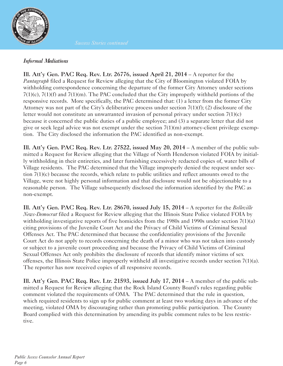

#### *Informal Mediations*

**Ill. Att'y Gen. PAC Req. Rev. Ltr. 26776, issued April 21, 2014** – A reporter for the *Pantagraph* filed a Request for Review alleging that the City of Bloomington violated FOIA by withholding correspondence concerning the departure of the former City Attorney under sections 7(1)(c), 7(1)(f) and 7(1)(m). The PAC concluded that the City improperly withheld portions of the responsive records. More specifically, the PAC determined that: (1) a letter from the former City Attorney was not part of the City's deliberative process under section  $7(1)(f)$ ; (2) disclosure of the letter would not constitute an unwarranted invasion of personal privacy under section 7(1)(c) because it concerned the public duties of a public employee; and (3) a separate letter that did not give or seek legal advice was not exempt under the section 7(1)(m) attorney-client privilege exemption. The City disclosed the information the PAC identified as non-exempt.

**Ill. Att'y Gen. PAC Req. Rev. Ltr. 27522, issued May 20, 2014** – A member of the public submitted a Request for Review alleging that the Village of North Henderson violated FOIA by initially withholding in their entireties, and later furnishing excessively redacted copies of, water bills of Village residents. The PAC determined that the Village improperly denied the request under section 7(1)(c) because the records, which relate to public utilities and reflect amounts owed to the Village, were not highly personal information and that disclosure would not be objectionable to a reasonable person. The Village subsequently disclosed the information identified by the PAC as non-exempt.

**Ill. Att'y Gen. PAC Req. Rev. Ltr. 28670, issued July 15, 2014** – A reporter for the *Belleville News-Democrat* filed a Request for Review alleging that the Illinois State Police violated FOIA by withholding investigative reports of five homicides from the 1980s and 1990s under section 7(1)(a) citing provisions of the Juvenile Court Act and the Privacy of Child Victims of Criminal Sexual Offenses Act. The PAC determined that because the confidentiality provisions of the Juvenile Court Act do not apply to records concerning the death of a minor who was not taken into custody or subject to a juvenile court proceeding and because the Privacy of Child Victims of Criminal Sexual Offenses Act only prohibits the disclosure of records that identify minor victims of sex offenses, the Illinois State Police improperly withheld all investigative records under section 7(1)(a). The reporter has now received copies of all responsive records.

**Ill. Att'y Gen. PAC Req. Rev. Ltr. 21593, issued July 17, 2014** – A member of the public submitted a Request for Review alleging that the Rock Island County Board's rules regarding public comment violated the requirements of OMA. The PAC determined that the rule in question, which required residents to sign up for public comment at least two working days in advance of the meeting, violated OMA by discouraging rather than promoting public participation. The County Board complied with this determination by amending its public comment rules to be less restrictive.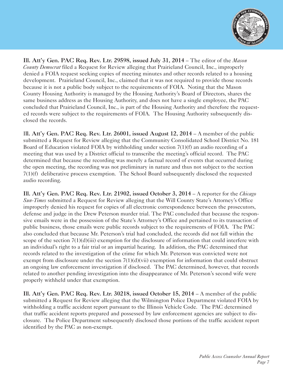

**Ill. Att'y Gen. PAC Req. Rev. Ltr. 29598, issued July 31, 2014** – The editor of the *Mason County Democrat* filed a Request for Review alleging that Prairieland Council, Inc., improperly denied a FOIA request seeking copies of meeting minutes and other records related to a housing development. Prairieland Council, Inc., claimed that it was not required to provide those records because it is not a public body subject to the requirements of FOIA. Noting that the Mason County Housing Authority is managed by the Housing Authority's Board of Directors, shares the same business address as the Housing Authority, and does not have a single employee, the PAC concluded that Prairieland Council, Inc., is part of the Housing Authority and therefore the requested records were subject to the requirements of FOIA. The Housing Authority subsequently disclosed the records.

I**ll. Att'y Gen. PAC Req. Rev. Ltr. 26001, issued August 12, 2014** – A member of the public submitted a Request for Review alleging that the Community Consolidated School District No. 181 Board of Education violated FOIA by withholding under section 7(1)(f) an audio recording of a meeting that was used by a District official to transcribe the meeting's official record. The PAC determined that because the recording was merely a factual record of events that occurred during the open meeting, the recording was not preliminary in nature and thus not subject to the section 7(1)(f) deliberative process exemption. The School Board subsequently disclosed the requested audio recording.

**Ill. Att'y Gen. PAC Req. Rev. Ltr. 21902, issued October 3, 2014** – A reporter for the *Chicago Sun-Times* submitted a Request for Review alleging that the Will County State's Attorney's Office improperly denied his request for copies of all electronic correspondence between the prosecutors, defense and judge in the Drew Peterson murder trial. The PAC concluded that because the responsive emails were in the possession of the State's Attorney's Office and pertained to its transaction of public business, those emails were public records subject to the requirements of FOIA. The PAC also concluded that because Mr. Peterson's trial had concluded, the records did not fall within the scope of the section  $7(1)(d)(iii)$  exemption for the disclosure of information that could interfere with an individual's right to a fair trial or an impartial hearing. In addition, the PAC determined that records related to the investigation of the crime for which Mr. Peterson was convicted were not exempt from disclosure under the section  $7(1)(d)(vii)$  exemption for information that could obstruct an ongoing law enforcement investigation if disclosed. The PAC determined, however, that records related to another pending investigation into the disappearance of Mr. Peterson's second wife were properly withheld under that exemption.

**Ill. Att'y Gen. PAC Req. Rev. Ltr. 30218, issued October 15, 2014 – A member of the public** submitted a Request for Review alleging that the Wilmington Police Department violated FOIA by withholding a traffic accident report pursuant to the Illinois Vehicle Code. The PAC determined that traffic accident reports prepared and possessed by law enforcement agencies are subject to disclosure. The Police Department subsequently disclosed those portions of the traffic accident report identified by the PAC as non-exempt.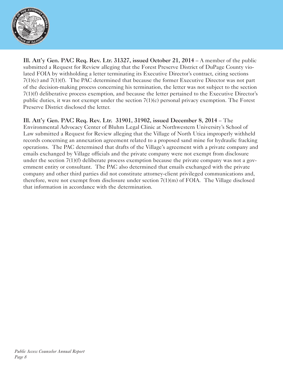

**Ill. Att'y Gen. PAC Req. Rev. Ltr. 31327, issued October 21, 2014** – A member of the public submitted a Request for Review alleging that the Forest Preserve District of DuPage County violated FOIA by withholding a letter terminating its Executive Director's contract, citing sections 7(1)(c) and 7(1)(f). The PAC determined that because the former Executive Director was not part of the decision-making process concerning his termination, the letter was not subject to the section 7(1)(f) deliberative process exemption, and because the letter pertained to the Executive Director's public duties, it was not exempt under the section 7(1)(c) personal privacy exemption. The Forest Preserve District disclosed the letter.

## **Ill. Att'y Gen. PAC Req. Rev. Ltr. 31901, 31902, issued December 8, 2014** – The

Environmental Advocacy Center of Bluhm Legal Clinic at Northwestern University's School of Law submitted a Request for Review alleging that the Village of North Utica improperly withheld records concerning an annexation agreement related to a proposed sand mine for hydraulic fracking operations. The PAC determined that drafts of the Village's agreement with a private company and emails exchanged by Village officials and the private company were not exempt from disclosure under the section 7(1)(f) deliberate process exemption because the private company was not a government entity or consultant. The PAC also determined that emails exchanged with the private company and other third parties did not constitute attorney-client privileged communications and, therefore, were not exempt from disclosure under section 7(1)(m) of FOIA. The Village disclosed that information in accordance with the determination.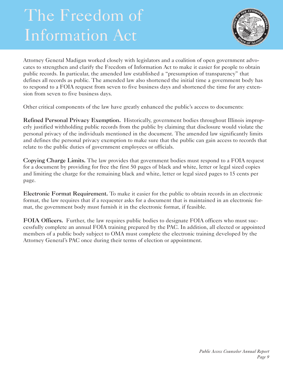## The Freedom of Information Act



Attorney General Madigan worked closely with legislators and a coalition of open government advocates to strengthen and clarify the Freedom of Information Act to make it easier for people to obtain public records. In particular, the amended law established a "presumption of transparency" that defines all records as public. The amended law also shortened the initial time a government body has to respond to a FOIA request from seven to five business days and shortened the time for any extension from seven to five business days.

Other critical components of the law have greatly enhanced the public's access to documents:

**Refined Personal Privacy Exemption.** Historically, government bodies throughout Illinois improperly justified withholding public records from the public by claiming that disclosure would violate the personal privacy of the individuals mentioned in the document. The amended law significantly limits and defines the personal privacy exemption to make sure that the public can gain access to records that relate to the public duties of government employees or officials.

**Copying Charge Limits.** The law provides that government bodies must respond to a FOIA request for a document by providing for free the first 50 pages of black and white, letter or legal sized copies and limiting the charge for the remaining black and white, letter or legal sized pages to 15 cents per page.

**Electronic Format Requirement.** To make it easier for the public to obtain records in an electronic format, the law requires that if a requester asks for a document that is maintained in an electronic format, the government body must furnish it in the electronic format, if feasible.

**FOIA Officers.** Further, the law requires public bodies to designate FOIA officers who must successfully complete an annual FOIA training prepared by the PAC. In addition, all elected or appointed members of a public body subject to OMA must complete the electronic training developed by the Attorney General's PAC once during their terms of election or appointment.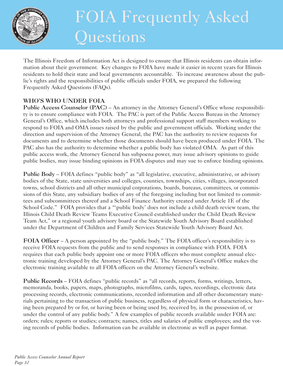

## FOIA Frequently Asked Questions

The Illinois Freedom of Information Act is designed to ensure that Illinois residents can obtain information about their government. Key changes to FOIA have made it easier in recent years for Illinois residents to hold their state and local governments accountable. To increase awareness about the public's rights and the responsibilities of public officials under FOIA, we prepared the following Frequently Asked Questions (FAQs).

## **WHO'S WHO UNDER FOIA**

**Public Access Counselor (PAC)** – An attorney in the Attorney General's Office whose responsibility is to ensure compliance with FOIA. The PAC is part of the Public Access Bureau in the Attorney General's Office, which includes both attorneys and professional support staff members working to respond to FOIA and OMA issues raised by the public and government officials. Working under the direction and supervision of the Attorney General, the PAC has the authority to review requests for documents and to determine whether those documents should have been produced under FOIA. The PAC also has the authority to determine whether a public body has violated OMA. As part of this public access work, the Attorney General has subpoena power, may issue advisory opinions to guide public bodies, may issue binding opinions in FOIA disputes and may sue to enforce binding opinions.

**Public Body** – FOIA defines "public body" as "all legislative, executive, administrative, or advisory bodies of the State, state universities and colleges, counties, townships, cities, villages, incorporated towns, school districts and all other municipal corporations, boards, bureaus, committees, or commissions of this State, any subsidiary bodies of any of the foregoing including but not limited to committees and subcommittees thereof and a School Finance Authority created under Article 1E of the School Code." FOIA provides that a "'public body' does not include a child death review team, the Illinois Child Death Review Teams Executive Council established under the Child Death Review Team Act," or a regional youth advisory board or the Statewide Youth Advisory Board established under the Department of Children and Family Services Statewide Youth Advisory Board Act.

**FOIA Officer** – A person appointed by the "public body." The FOIA officer's responsibility is to receive FOIA requests from the public and to send responses in compliance with FOIA. FOIA requires that each public body appoint one or more FOIA officers who must complete annual electronic training developed by the Attorney General's PAC. The Attorney General's Office makes the electronic training available to all FOIA officers on the Attorney General's website.

Public Records – FOIA defines "public records" as "all records, reports, forms, writings, letters, memoranda, books, papers, maps, photographs, microfilms, cards, tapes, recordings, electronic data processing records, electronic communications, recorded information and all other documentary materials pertaining to the transaction of public business, regardless of physical form or characteristics, having been prepared by or for, or having been or being used by, received by, in the possession of, or under the control of any public body." A few examples of public records available under FOIA are: orders; rules; reports or studies; contracts; names, titles and salaries of public employees; and the voting records of public bodies. Information can be available in electronic as well as paper format.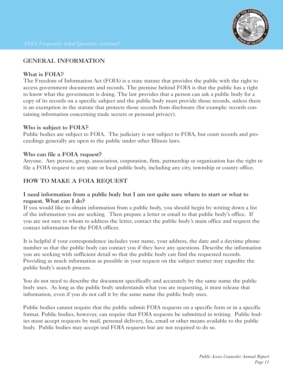## **GENERAL INFORMATION**

## **What is FOIA?**

The Freedom of Information Act (FOIA) is a state statute that provides the public with the right to access government documents and records. The premise behind FOIA is that the public has a right to know what the government is doing. The law provides that a person can ask a public body for a copy of its records on a specific subject and the public body must provide those records, unless there is an exemption in the statute that protects those records from disclosure (for example: records containing information concerning trade secrets or personal privacy).

## **Who is subject to FOIA?**

Public bodies are subject to FOIA. The judiciary is not subject to FOIA, but court records and proceedings generally are open to the public under other Illinois laws.

## **Who can file a FOIA request?**

Anyone. Any person, group, association, corporation, firm, partnership or organization has the right to file a FOIA request to any state or local public body, including any city, township or county office.

## **HOW TO MAKE A FOIA REQUEST**

## **I need information from a public body but I am not quite sure where to start or what to request. What can I do?**

If you would like to obtain information from a public body, you should begin by writing down a list of the information you are seeking. Then prepare a letter or email to that public body's office. If you are not sure to whom to address the letter, contact the public body's main office and request the contact information for the FOIA officer.

It is helpful if your correspondence includes your name, your address, the date and a daytime phone number so that the public body can contact you if they have any questions. Describe the information you are seeking with sufficient detail so that the public body can find the requested records. Providing as much information as possible in your request on the subject matter may expedite the public body's search process.

You do not need to describe the document specifically and accurately by the same name the public body uses. As long as the public body understands what you are requesting, it must release that information, even if you do not call it by the same name the public body uses.

Public bodies cannot require that the public submit FOIA requests on a specific form or in a specific format. Public bodies, however, can require that FOIA requests be submitted in writing. Public bodies must accept requests by mail, personal delivery, fax, email or other means available to the public body. Public bodies may accept oral FOIA requests but are not required to do so.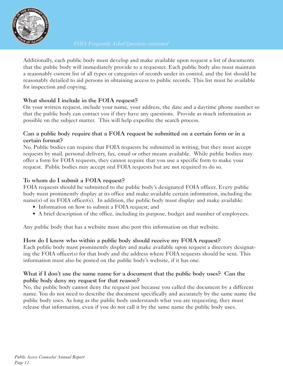

Additionally, each public body must develop and make available upon request a list of documents that the public body will immediately provide to a requester. Each public body also must maintain a reasonably current list of all types or categories of records under its control, and the list should be reasonably detailed to aid persons in obtaining access to public records. This list must be available for inspection and copying.

## **What should I include in the FOIA request?**

On your written request, include your name, your address, the date and a daytime phone number so that the public body can contact you if they have any questions. Provide as much information as possible on the subject matter. This will help expedite the search process.

## **Can a public body require that a FOIA request be submitted on a certain form or in a certain format?**

No. Public bodies can require that FOIA requests be submitted in writing, but they must accept requests by mail, personal delivery, fax, email or other means available. While public bodies may offer a form for FOIA requests, they cannot require that you use a specific form to make your request. Public bodies may accept oral FOIA requests but are not required to do so.

## **To whom do I submit a FOIA request?**

FOIA requests should be submitted to the public body's designated FOIA officer. Every public body must prominently display at its office and make available certain information, including the name(s) of its FOIA officer(s). In addition, the public body must display and make available:

- Information on how to submit a FOIA request; and
- A brief description of the office, including its purpose, budget and number of employees.

Any public body that has a website must also post this information on that website.

## **How do I know who within a public body should receive my FOIA request?**

Each public body must prominently display and make available upon request a directory designating the FOIA officer(s) for that body and the address where FOIA requests should be sent. This information must also be posted on the public body's website, if it has one.

## What if I don't use the same name for a document that the public body uses? Can the **public body deny my request for that reason?**

No, the public body cannot deny the request just because you called the document by a different name. You do not need to describe the document specifically and accurately by the same name the public body uses. As long as the public body understands what you are requesting, they must release that information, even if you do not call it by the same name the public body uses.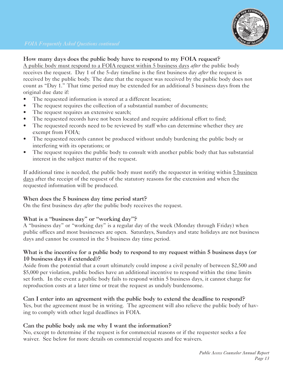

#### **How many days does the public body have to respond to my FOIA request?**

A public body must respond to a FOIA request within 5 business days *after* the public body receives the request. Day 1 of the 5-day timeline is the first business day *after* the request is received by the public body. The date that the request was received by the public body does not count as "Day 1." That time period may be extended for an additional 5 business days from the original due date if:

- The requested information is stored at a different location;
- The request requires the collection of a substantial number of documents;
- The request requires an extensive search;
- The requested records have not been located and require additional effort to find;
- The requested records need to be reviewed by staff who can determine whether they are exempt from FOIA;
- The requested records cannot be produced without unduly burdening the public body or interfering with its operations; or
- The request requires the public body to consult with another public body that has substantial interest in the subject matter of the request.

If additional time is needed, the public body must notify the requester in writing within 5 business days after the receipt of the request of the statutory reasons for the extension and when the requested information will be produced.

#### **When does the 5 business day time period start?**

On the first business day *after* the public body receives the request.

## **What is a "business day" or "working day"?**

A "business day" or "working day" is a regular day of the week (Monday through Friday) when public offices and most businesses are open. Saturdays, Sundays and state holidays are not business days and cannot be counted in the 5 business day time period.

#### **What is the incentive for a public body to respond to my request within 5 business days (or 10 business days if extended)?**

Aside from the potential that a court ultimately could impose a civil penalty of between \$2,500 and \$5,000 per violation, public bodies have an additional incentive to respond within the time limits set forth. In the event a public body fails to respond within 5 business days, it cannot charge for reproduction costs at a later time or treat the request as unduly burdensome.

#### **Can I enter into an agreement with the public body to extend the deadline to respond?** Yes, but the agreement must be in writing. The agreement will also relieve the public body of having to comply with other legal deadlines in FOIA.

## **Can the public body ask me why I want the information?**

No, except to determine if the request is for commercial reasons or if the requester seeks a fee waiver. See below for more details on commercial requests and fee waivers.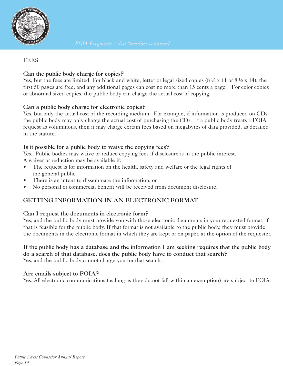

#### **FEES**

## **Can the public body charge for copies?**

Yes, but the fees are limited. For black and white, letter or legal sized copies (8  $\frac{1}{2}$  x 11 or 8  $\frac{1}{2}$  x 14), the first 50 pages are free, and any additional pages can cost no more than 15 cents a page. For color copies or abnormal sized copies, the public body can charge the actual cost of copying.

#### **Can a public body charge for electronic copies?**

Yes, but only the actual cost of the recording medium. For example, if information is produced on CDs, the public body may only charge the actual cost of purchasing the CDs. If a public body treats a FOIA request as voluminous, then it may charge certain fees based on megabytes of data provided, as detailed in the statute.

#### **Is it possible for a public body to waive the copying fees?**

Yes. Public bodies may waive or reduce copying fees if disclosure is in the public interest. A waiver or reduction may be available if:

- The request is for information on the health, safety and welfare or the legal rights of the general public;
- There is an intent to disseminate the information; or
- No personal or commercial benefit will be received from document disclosure.

## **GETTING INFORMATION IN AN ELECTRONIC FORMAT**

## **Can I request the documents in electronic form?**

Yes, and the public body must provide you with those electronic documents in your requested format, if that is feasible for the public body. If that format is not available to the public body, they must provide the documents in the electronic format in which they are kept or on paper, at the option of the requester.

#### **If the public body has a database and the information I am seeking requires that the public body do a search of that database, does the public body have to conduct that search?** Yes, and the public body cannot charge you for that search.

#### **Are emails subject to FOIA?**

Yes. All electronic communications (as long as they do not fall within an exemption) are subject to FOIA.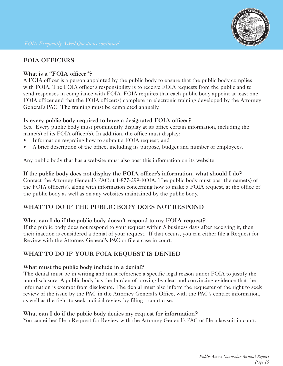## **FOIA OFFICERS**

## **What is a "FOIA officer"?**

A FOIA officer is a person appointed by the public body to ensure that the public body complies with FOIA. The FOIA officer's responsibility is to receive FOIA requests from the public and to send responses in compliance with FOIA. FOIA requires that each public body appoint at least one FOIA officer and that the FOIA officer(s) complete an electronic training developed by the Attorney General's PAC. The training must be completed annually.

## **Is every public body required to have a designated FOIA officer?**

Yes. Every public body must prominently display at its office certain information, including the name(s) of its FOIA officer(s). In addition, the office must display:

- Information regarding how to submit a FOIA request; and
- A brief description of the office, including its purpose, budget and number of employees.

Any public body that has a website must also post this information on its website.

## **If the public body does not display the FOIA officer's information, what should I do?**

Contact the Attorney General's PAC at 1-877-299-FOIA. The public body must post the name(s) of the FOIA officer(s), along with information concerning how to make a FOIA request, at the office of the public body as well as on any websites maintained by the public body.

## **WHAT TO DO IF THE PUBLIC BODY DOES NOT RESPOND**

## **What can I do if the public body doesn't respond to my FOIA request?**

If the public body does not respond to your request within 5 business days after receiving it, then their inaction is considered a denial of your request. If that occurs, you can either file a Request for Review with the Attorney General's PAC or file a case in court.

## **WHAT TO DO IF YOUR FOIA REQUEST IS DENIED**

## **What must the public body include in a denial?**

The denial must be in writing and must reference a specific legal reason under FOIA to justify the non-disclosure. A public body has the burden of proving by clear and convincing evidence that the information is exempt from disclosure. The denial must also inform the requester of the right to seek review of the issue by the PAC in the Attorney General's Office, with the PAC's contact information, as well as the right to seek judicial review by filing a court case.

## **What can I do if the public body denies my request for information?**

You can either file a Request for Review with the Attorney General's PAC or file a lawsuit in court.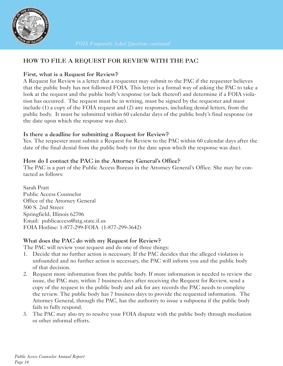

## **HOW TO FILE A REQUEST FOR REVIEW WITH THE PAC**

## **First, what is a Request for Review?**

A Request for Review is a letter that a requester may submit to the PAC if the requester believes that the public body has not followed FOIA. This letter is a formal way of asking the PAC to take a look at the request and the public body's response (or lack thereof) and determine if a FOIA violation has occurred. The request must be in writing, must be signed by the requester and must include (1) a copy of the FOIA request and (2) any responses, including denial letters, from the public body. It must be submitted within 60 calendar days of the public body's final response (or the date upon which the response was due).

## **Is there a deadline for submitting a Request for Review?**

Yes. The requester must submit a Request for Review to the PAC within 60 calendar days after the date of the final denial from the public body (or the date upon which the response was due).

## **How do I contact the PAC in the Attorney General's Office?**

The PAC is a part of the Public Access Bureau in the Attorney General's Office. She may be contacted as follows:

Sarah Pratt Public Access Counselor Office of the Attorney General 500 S. 2nd Street Springfield, Illinois 62706 Email: publicaccess@atg.state.il.us FOIA Hotline: 1-877-299-FOIA (1-877-299-3642)

## **What does the PAC do with my Request for Review?**

The PAC will review your request and do one of three things:

- 1. Decide that no further action is necessary. If the PAC decides that the alleged violation is unfounded and no further action is necessary, the PAC will inform you and the public body of that decision.
- 2. Request more information from the public body. If more information is needed to review the issue, the PAC may, within 7 business days after receiving the Request for Review, send a copy of the request to the public body and ask for any records the PAC needs to complete the review. The public body has 7 business days to provide the requested information. The Attorney General, through the PAC, has the authority to issue a subpoena if the public body fails to fully respond.
- 3. The PAC may also try to resolve your FOIA dispute with the public body through mediation or other informal efforts.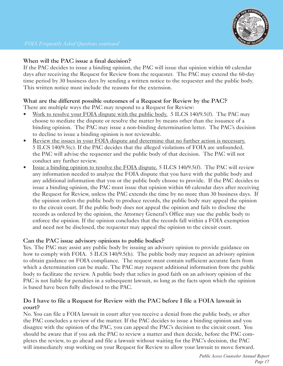

## **When will the PAC issue a final decision?**

If the PAC decides to issue a binding opinion, the PAC will issue that opinion within 60 calendar days after receiving the Request for Review from the requester. The PAC may extend the 60-day time period by 30 business days by sending a written notice to the requester and the public body. This written notice must include the reasons for the extension.

## **What are the different possible outcomes of a Request for Review by the PAC?**

There are multiple ways the PAC may respond to a Request for Review:

- Work to resolve your FOIA dispute with the public body. 5 ILCS 140/9.5(f). The PAC may choose to mediate the dispute or resolve the matter by means other than the issuance of a binding opinion. The PAC may issue a non-binding determination letter. The PAC's decision to decline to issue a binding opinion is not reviewable.
- Review the issues in your FOIA dispute and determine that no further action is necessary. 5 ILCS 140/9.5(c). If the PAC decides that the alleged violations of FOIA are unfounded, the PAC will advise the requester and the public body of that decision. The PAC will not conduct any further review.
- Issue a binding opinion to resolve the FOIA dispute. 5 ILCS 140/9.5(f). The PAC will review any information needed to analyze the FOIA dispute that you have with the public body and any additional information that you or the public body choose to provide. If the PAC decides to issue a binding opinion, the PAC must issue that opinion within 60 calendar days after receiving the Request for Review, unless the PAC extends the time by no more than 30 business days. If the opinion orders the public body to produce records, the public body may appeal the opinion to the circuit court. If the public body does not appeal the opinion and fails to disclose the records as ordered by the opinion, the Attorney General's Office may sue the public body to enforce the opinion. If the opinion concludes that the records fall within a FOIA exemption and need not be disclosed, the requester may appeal the opinion to the circuit court.

## **Can the PAC issue advisory opinions to public bodies?**

Yes. The PAC may assist any public body by issuing an advisory opinion to provide guidance on how to comply with FOIA. 5 ILCS 140/9.5(h). The public body may request an advisory opinion to obtain guidance on FOIA compliance. The request must contain sufficient accurate facts from which a determination can be made. The PAC may request additional information from the public body to facilitate the review. A public body that relies in good faith on an advisory opinion of the PAC is not liable for penalties in a subsequent lawsuit, so long as the facts upon which the opinion is based have been fully disclosed to the PAC.

## **Do I have to file a Request for Review with the PAC before I file a FOIA lawsuit in court?**

No. You can file a FOIA lawsuit in court after you receive a denial from the public body, or after the PAC concludes a review of the matter. If the PAC decides to issue a binding opinion and you disagree with the opinion of the PAC, you can appeal the PAC's decision to the circuit court. You should be aware that if you ask the PAC to review a matter and then decide, before the PAC completes the review, to go ahead and file a lawsuit without waiting for the PAC's decision, the PAC will immediately stop working on your Request for Review to allow your lawsuit to move forward.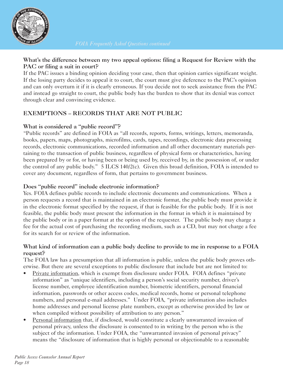

## **What's the difference between my two appeal options: filing a Request for Review with the PAC or filing a suit in court?**

If the PAC issues a binding opinion deciding your case, then that opinion carries significant weight. If the losing party decides to appeal it to court, the court must give deference to the PAC's opinion and can only overturn it if it is clearly erroneous. If you decide not to seek assistance from the PAC and instead go straight to court, the public body has the burden to show that its denial was correct through clear and convincing evidence.

## **EXEMPTIONS – RECORDS THAT ARE NOT PUBLIC**

## **What is considered a "public record"?**

"Public records" are defined in FOIA as "all records, reports, forms, writings, letters, memoranda, books, papers, maps, photographs, microfilms, cards, tapes, recordings, electronic data processing records, electronic communications, recorded information and all other documentary materials pertaining to the transaction of public business, regardless of physical form or characteristics, having been prepared by or for, or having been or being used by, received by, in the possession of, or under the control of any public body." 5 ILCS 140/2(c). Given this broad definition, FOIA is intended to cover any document, regardless of form, that pertains to government business.

## **Does "public record" include electronic information?**

Yes. FOIA defines public records to include electronic documents and communications. When a person requests a record that is maintained in an electronic format, the public body must provide it in the electronic format specified by the request, if that is feasible for the public body. If it is not feasible, the public body must present the information in the format in which it is maintained by the public body or in a paper format at the option of the requester. The public body may charge a fee for the actual cost of purchasing the recording medium, such as a CD, but may not charge a fee for its search for or review of the information.

## **What kind of information can a public body decline to provide to me in response to a FOIA request?**

The FOIA law has a presumption that all information is public, unless the public body proves otherwise. But there are several exceptions to public disclosure that include but are not limited to:

- Private information, which is exempt from disclosure under FOIA. FOIA defines "private information" as "unique identifiers, including a person's social security number, driver's license number, employee identification number, biometric identifiers, personal financial information, passwords or other access codes, medical records, home or personal telephone numbers, and personal e-mail addresses." Under FOIA, "private information also includes home addresses and personal license plate numbers, except as otherwise provided by law or when compiled without possibility of attribution to any person."
- Personal information that, if disclosed, would constitute a clearly unwarranted invasion of personal privacy, unless the disclosure is consented to in writing by the person who is the subject of the information. Under FOIA, the "unwarranted invasion of personal privacy" means the "disclosure of information that is highly personal or objectionable to a reasonable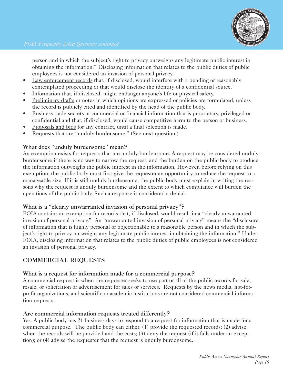

 person and in which the subject's right to privacy outweighs any legitimate public interest in obtaining the information." Disclosing information that relates to the public duties of public employees is not considered an invasion of personal privacy.

- Law enforcement records that, if disclosed, would interfere with a pending or reasonably contemplated proceeding or that would disclose the identity of a confidential source.
- Information that, if disclosed, might endanger anyone's life or physical safety.
- Preliminary drafts or notes in which opinions are expressed or policies are formulated, unless the record is publicly cited and identified by the head of the public body.
- Business trade secrets or commercial or financial information that is proprietary, privileged or confidential and that, if disclosed, would cause competitive harm to the person or business.
- Proposals and bids for any contract, until a final selection is made.
- Requests that are "unduly burdensome." (See next question.)

#### **What does "unduly burdensome" mean?**

An exemption exists for requests that are unduly burdensome. A request may be considered unduly burdensome if there is no way to narrow the request, and the burden on the public body to produce the information outweighs the public interest in the information. However, before relying on this exemption, the public body must first give the requester an opportunity to reduce the request to a manageable size. If it is still unduly burdensome, the public body must explain in writing the reasons why the request is unduly burdensome and the extent to which compliance will burden the operations of the public body. Such a response is considered a denial.

#### **What is a "clearly unwarranted invasion of personal privacy"?**

FOIA contains an exemption for records that, if disclosed, would result in a "clearly unwarranted invasion of personal privacy." An "unwarranted invasion of personal privacy" means the "disclosure of information that is highly personal or objectionable to a reasonable person and in which the subject's right to privacy outweighs any legitimate public interest in obtaining the information." Under FOIA, disclosing information that relates to the public duties of public employees is not considered an invasion of personal privacy.

## **COMMERCIAL REQUESTS**

#### **What is a request for information made for a commercial purpose?**

A commercial request is when the requester seeks to use part or all of the public records for sale, resale, or solicitation or advertisement for sales or services. Requests by the news media, not-forprofit organizations, and scientific or academic institutions are not considered commercial information requests.

#### **Are commercial information requests treated differently?**

Yes. A public body has 21 business days to respond to a request for information that is made for a commercial purpose. The public body can either: (1) provide the requested records; (2) advise when the records will be provided and the costs;  $(3)$  deny the request (if it falls under an exception); or (4) advise the requester that the request is unduly burdensome.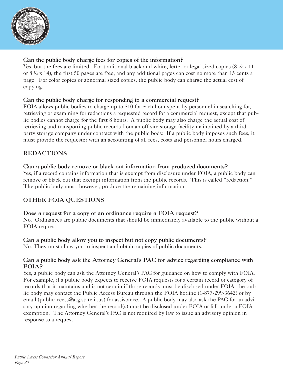

## **Can the public body charge fees for copies of the information?**

Yes, but the fees are limited. For traditional black and white, letter or legal sized copies  $(8 \frac{1}{2} x 11)$ or 8 ½ x 14), the first 50 pages are free, and any additional pages can cost no more than 15 cents a page. For color copies or abnormal sized copies, the public body can charge the actual cost of copying.

## **Can the public body charge for responding to a commercial request?**

FOIA allows public bodies to charge up to \$10 for each hour spent by personnel in searching for, retrieving or examining for redactions a requested record for a commercial request, except that public bodies cannot charge for the first 8 hours. A public body may also charge the actual cost of retrieving and transporting public records from an off-site storage facility maintained by a thirdparty storage company under contract with the public body. If a public body imposes such fees, it must provide the requester with an accounting of all fees, costs and personnel hours charged.

## **REDACTIONS**

**Can a public body remove or black out information from produced documents?**  Yes, if a record contains information that is exempt from disclosure under FOIA, a public body can remove or black out that exempt information from the public records. This is called "redaction." The public body must, however, produce the remaining information.

## **OTHER FOIA QUESTIONS**

**Does a request for a copy of an ordinance require a FOIA request?**

No. Ordinances are public documents that should be immediately available to the public without a FOIA request.

**Can a public body allow you to inspect but not copy public documents?**  No. They must allow you to inspect and obtain copies of public documents.

## **Can a public body ask the Attorney General's PAC for advice regarding compliance with FOIA?**

Yes, a public body can ask the Attorney General's PAC for guidance on how to comply with FOIA. For example, if a public body expects to receive FOIA requests for a certain record or category of records that it maintains and is not certain if those records must be disclosed under FOIA, the public body may contact the Public Access Bureau through the FOIA hotline (1-877-299-3642) or by email (publicaccess@atg.state.il.us) for assistance. A public body may also ask the PAC for an advisory opinion regarding whether the record(s) must be disclosed under FOIA or fall under a FOIA exemption. The Attorney General's PAC is not required by law to issue an advisory opinion in response to a request.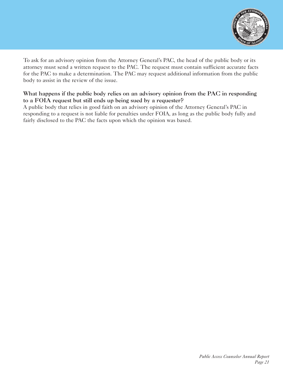

To ask for an advisory opinion from the Attorney General's PAC, the head of the public body or its attorney must send a written request to the PAC. The request must contain sufficient accurate facts for the PAC to make a determination. The PAC may request additional information from the public body to assist in the review of the issue.

## **What happens if the public body relies on an advisory opinion from the PAC in responding to a FOIA request but still ends up being sued by a requester?**

A public body that relies in good faith on an advisory opinion of the Attorney General's PAC in responding to a request is not liable for penalties under FOIA, as long as the public body fully and fairly disclosed to the PAC the facts upon which the opinion was based.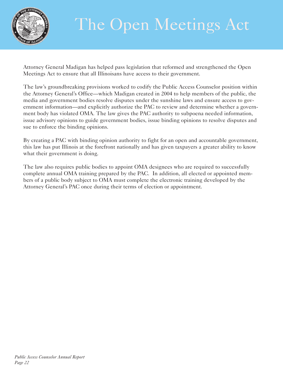

## The Open Meetings Act

Attorney General Madigan has helped pass legislation that reformed and strengthened the Open Meetings Act to ensure that all Illinoisans have access to their government.

The law's groundbreaking provisions worked to codify the Public Access Counselor position within the Attorney General's Office—which Madigan created in 2004 to help members of the public, the media and government bodies resolve disputes under the sunshine laws and ensure access to government information—and explicitly authorize the PAC to review and determine whether a government body has violated OMA. The law gives the PAC authority to subpoena needed information, issue advisory opinions to guide government bodies, issue binding opinions to resolve disputes and sue to enforce the binding opinions.

By creating a PAC with binding opinion authority to fight for an open and accountable government, this law has put Illinois at the forefront nationally and has given taxpayers a greater ability to know what their government is doing.

The law also requires public bodies to appoint OMA designees who are required to successfully complete annual OMA training prepared by the PAC. In addition, all elected or appointed members of a public body subject to OMA must complete the electronic training developed by the Attorney General's PAC once during their terms of election or appointment.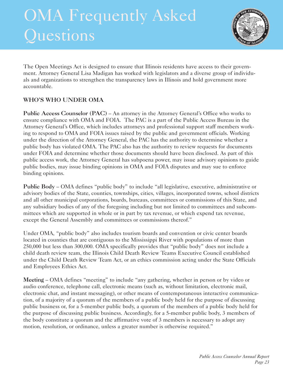## OMA Frequently Asked Questions



The Open Meetings Act is designed to ensure that Illinois residents have access to their government. Attorney General Lisa Madigan has worked with legislators and a diverse group of individuals and organizations to strengthen the transparency laws in Illinois and hold government more accountable.

## **WHO'S WHO UNDER OMA**

**Public Access Counselor (PAC)** – An attorney in the Attorney General's Office who works to ensure compliance with OMA and FOIA. The PAC is a part of the Public Access Bureau in the Attorney General's Office, which includes attorneys and professional support staff members working to respond to OMA and FOIA issues raised by the public and government officials. Working under the direction of the Attorney General, the PAC has the authority to determine whether a public body has violated OMA. The PAC also has the authority to review requests for documents under FOIA and determine whether those documents should have been disclosed. As part of this public access work, the Attorney General has subpoena power, may issue advisory opinions to guide public bodies, may issue binding opinions in OMA and FOIA disputes and may sue to enforce binding opinions.

**Public Body** – OMA defines "public body" to include "all legislative, executive, administrative or advisory bodies of the State, counties, townships, cities, villages, incorporated towns, school districts and all other municipal corporations, boards, bureaus, committees or commissions of this State, and any subsidiary bodies of any of the foregoing including but not limited to committees and subcommittees which are supported in whole or in part by tax revenue, or which expend tax revenue, except the General Assembly and committees or commissions thereof."

Under OMA, "public body" also includes tourism boards and convention or civic center boards located in counties that are contiguous to the Mississippi River with populations of more than 250,000 but less than 300,000. OMA specifically provides that "public body" does not include a child death review team, the Illinois Child Death Review Teams Executive Council established under the Child Death Review Team Act, or an ethics commission acting under the State Officials and Employees Ethics Act.

**Meeting** – OMA defines "meeting" to include "any gathering, whether in person or by video or audio conference, telephone call, electronic means (such as, without limitation, electronic mail, electronic chat, and instant messaging), or other means of contemporaneous interactive communication, of a majority of a quorum of the members of a public body held for the purpose of discussing public business or, for a 5-member public body, a quorum of the members of a public body held for the purpose of discussing public business. Accordingly, for a 5-member public body, 3 members of the body constitute a quorum and the affirmative vote of 3 members is necessary to adopt any motion, resolution, or ordinance, unless a greater number is otherwise required."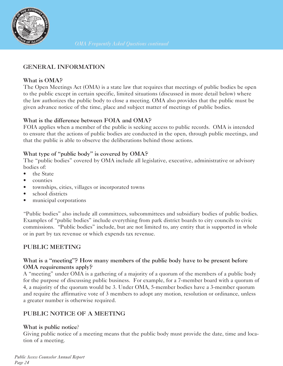

## **GENERAL INFORMATION**

## **What is OMA?**

The Open Meetings Act (OMA) is a state law that requires that meetings of public bodies be open to the public except in certain specific, limited situations (discussed in more detail below) where the law authorizes the public body to close a meeting. OMA also provides that the public must be given advance notice of the time, place and subject matter of meetings of public bodies.

## **What is the difference between FOIA and OMA?**

FOIA applies when a member of the public is seeking access to public records. OMA is intended to ensure that the actions of public bodies are conducted in the open, through public meetings, and that the public is able to observe the deliberations behind those actions.

## **What type of "public body" is covered by OMA?**

The "public bodies" covered by OMA include all legislative, executive, administrative or advisory bodies of:

- the State
- counties
- townships, cities, villages or incorporated towns
- school districts
- municipal corporations

"Public bodies" also include all committees, subcommittees and subsidiary bodies of public bodies. Examples of "public bodies" include everything from park district boards to city councils to civic commissions. "Public bodies" include, but are not limited to, any entity that is supported in whole or in part by tax revenue or which expends tax revenue.

## **PUBLIC MEETING**

## **What is a "meeting"? How many members of the public body have to be present before OMA requirements apply?**

A "meeting" under OMA is a gathering of a majority of a quorum of the members of a public body for the purpose of discussing public business. For example, for a 7-member board with a quorum of 4, a majority of the quorum would be 3. Under OMA, 5-member bodies have a 3-member quorum and require the affirmative vote of 3 members to adopt any motion, resolution or ordinance, unless a greater number is otherwise required.

## **PUBLIC NOTICE OF A MEETING**

## **What is public notice**?

Giving public notice of a meeting means that the public body must provide the date, time and location of a meeting.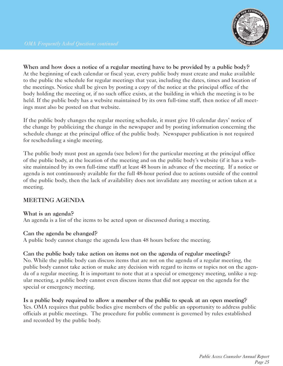

**When and how does a notice of a regular meeting have to be provided by a public body?** At the beginning of each calendar or fiscal year, every public body must create and make available to the public the schedule for regular meetings that year, including the dates, times and location of the meetings. Notice shall be given by posting a copy of the notice at the principal office of the body holding the meeting or, if no such office exists, at the building in which the meeting is to be held. If the public body has a website maintained by its own full-time staff, then notice of all meetings must also be posted on that website.

If the public body changes the regular meeting schedule, it must give 10 calendar days' notice of the change by publicizing the change in the newspaper and by posting information concerning the schedule change at the principal office of the public body. Newspaper publication is not required for rescheduling a single meeting.

The public body must post an agenda (see below) for the particular meeting at the principal office of the public body, at the location of the meeting and on the public body's website (if it has a website maintained by its own full-time staff) at least 48 hours in advance of the meeting. If a notice or agenda is not continuously available for the full 48-hour period due to actions outside of the control of the public body, then the lack of availability does not invalidate any meeting or action taken at a meeting.

## **MEETING AGENDA**

#### **What is an agenda?**

An agenda is a list of the items to be acted upon or discussed during a meeting.

#### **Can the agenda be changed?**

A public body cannot change the agenda less than 48 hours before the meeting.

#### **Can the public body take action on items not on the agenda of regular meetings?**

No. While the public body can discuss items that are not on the agenda of a regular meeting, the public body cannot take action or make any decision with regard to items or topics not on the agenda of a regular meeting. It is important to note that at a special or emergency meeting, unlike a regular meeting, a public body cannot even discuss items that did not appear on the agenda for the special or emergency meeting.

**Is a public body required to allow a member of the public to speak at an open meeting?**  Yes. OMA requires that public bodies give members of the public an opportunity to address public officials at public meetings. The procedure for public comment is governed by rules established and recorded by the public body.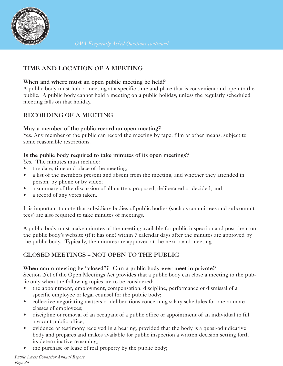

## **TIME AND LOCATION OF A MEETING**

#### **When and where must an open public meeting be held?**

A public body must hold a meeting at a specific time and place that is convenient and open to the public. A public body cannot hold a meeting on a public holiday, unless the regularly scheduled meeting falls on that holiday.

## **RECORDING OF A MEETING**

#### **May a member of the public record an open meeting?**

Yes. Any member of the public can record the meeting by tape, film or other means, subject to some reasonable restrictions.

#### **Is the public body required to take minutes of its open meetings?**

Yes. The minutes must include:

- the date, time and place of the meeting;
- a list of the members present and absent from the meeting, and whether they attended in person, by phone or by video;
- a summary of the discussion of all matters proposed, deliberated or decided; and
- a record of any votes taken.

It is important to note that subsidiary bodies of public bodies (such as committees and subcommittees) are also required to take minutes of meetings.

A public body must make minutes of the meeting available for public inspection and post them on the public body's website (if it has one) within 7 calendar days after the minutes are approved by the public body. Typically, the minutes are approved at the next board meeting.

## **CLOSED MEETINGS – NOT OPEN TO THE PUBLIC**

## **When can a meeting be "closed"? Can a public body ever meet in private?**

Section 2(c) of the Open Meetings Act provides that a public body can close a meeting to the public only when the following topics are to be considered:

- the appointment, employment, compensation, discipline, performance or dismissal of a specific employee or legal counsel for the public body;
- collective negotiating matters or deliberations concerning salary schedules for one or more classes of employees;
- discipline or removal of an occupant of a public office or appointment of an individual to fill a vacant public office;
- evidence or testimony received in a hearing, provided that the body is a quasi-adjudicative body and prepares and makes available for public inspection a written decision setting forth its determinative reasoning;
- the purchase or lease of real property by the public body;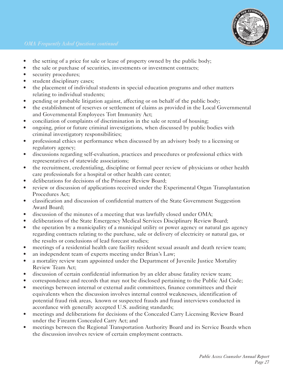

- the setting of a price for sale or lease of property owned by the public body;
- the sale or purchase of securities, investments or investment contracts;
- security procedures;
- student disciplinary cases;
- the placement of individual students in special education programs and other matters relating to individual students;
- pending or probable litigation against, affecting or on behalf of the public body;
- the establishment of reserves or settlement of claims as provided in the Local Governmental and Governmental Employees Tort Immunity Act;
- conciliation of complaints of discrimination in the sale or rental of housing;
- ongoing, prior or future criminal investigations, when discussed by public bodies with criminal investigatory responsibilities;
- professional ethics or performance when discussed by an advisory body to a licensing or regulatory agency;
- discussions regarding self-evaluation, practices and procedures or professional ethics with representatives of statewide associations;
- the recruitment, credentialing, discipline or formal peer review of physicians or other health care professionals for a hospital or other health care center;
- deliberations for decisions of the Prisoner Review Board;
- review or discussion of applications received under the Experimental Organ Transplantation Procedures Act;
- classification and discussion of confidential matters of the State Government Suggestion Award Board;
- discussion of the minutes of a meeting that was lawfully closed under OMA;
- deliberations of the State Emergency Medical Services Disciplinary Review Board;
- the operation by a municipality of a municipal utility or power agency or natural gas agency regarding contracts relating to the purchase, sale or delivery of electricity or natural gas, or the results or conclusions of lead forecast studies;
- meetings of a residential health care facility resident sexual assault and death review team;
- an independent team of experts meeting under Brian's Law;
- a mortality review team appointed under the Department of Juvenile Justice Mortality Review Team Act;
- discussion of certain confidential information by an elder abuse fatality review team;
- correspondence and records that may not be disclosed pertaining to the Public Aid Code;
- meetings between internal or external audit committees, finance committees and their equivalents when the discussion involves internal control weaknesses, identification of potential fraud risk areas, known or suspected frauds and fraud interviews conducted in accordance with generally accepted U.S. auditing standards;
- meetings and deliberations for decisions of the Concealed Carry Licensing Review Board under the Firearm Concealed Carry Act; and
- meetings between the Regional Transportation Authority Board and its Service Boards when the discussion involves review of certain employment contracts.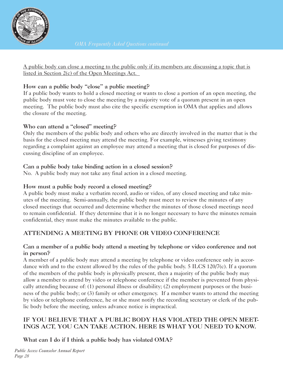

A public body can close a meeting to the public only if its members are discussing a topic that is listed in Section 2(c) of the Open Meetings Act.

## **How can a public body "close" a public meeting?**

If a public body wants to hold a closed meeting or wants to close a portion of an open meeting, the public body must vote to close the meeting by a majority vote of a quorum present in an open meeting. The public body must also cite the specific exemption in OMA that applies and allows the closure of the meeting.

## **Who can attend a "closed" meeting?**

Only the members of the public body and others who are directly involved in the matter that is the basis for the closed meeting may attend the meeting. For example, witnesses giving testimony regarding a complaint against an employee may attend a meeting that is closed for purposes of discussing discipline of an employee.

## **Can a public body take binding action in a closed session?**

No. A public body may not take any final action in a closed meeting.

## **How must a public body record a closed meeting?**

A public body must make a verbatim record, audio or video, of any closed meeting and take minutes of the meeting. Semi-annually, the public body must meet to review the minutes of any closed meetings that occurred and determine whether the minutes of those closed meetings need to remain confidential. If they determine that it is no longer necessary to have the minutes remain confidential, they must make the minutes available to the public.

## **ATTENDING A MEETING BY PHONE OR VIDEO CONFERENCE**

## **Can a member of a public body attend a meeting by telephone or video conference and not in person?**

A member of a public body may attend a meeting by telephone or video conference only in accordance with and to the extent allowed by the rules of the public body. 5 ILCS 120/7(c). If a quorum of the members of the public body is physically present, then a majority of the public body may allow a member to attend by video or telephone conference if the member is prevented from physically attending because of: (1) personal illness or disability; (2) employment purposes or the business of the public body; or (3) family or other emergency. If a member wants to attend the meeting by video or telephone conference, he or she must notify the recording secretary or clerk of the public body before the meeting, unless advance notice is impractical.

## **IF YOU BELIEVE THAT A PUBLIC BODY HAS VIOLATED THE OPEN MEET-INGS ACT, YOU CAN TAKE ACTION. HERE IS WHAT YOU NEED TO KNOW.**

**What can I do if I think a public body has violated OMA?**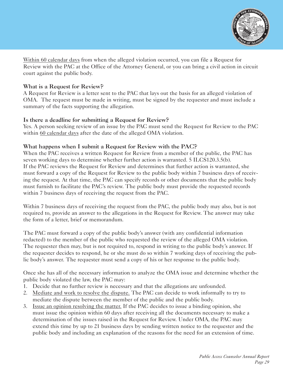

Within 60 calendar days from when the alleged violation occurred, you can file a Request for Review with the PAC at the Office of the Attorney General, or you can bring a civil action in circuit court against the public body.

#### **What is a Request for Review?**

A Request for Review is a letter sent to the PAC that lays out the basis for an alleged violation of OMA. The request must be made in writing, must be signed by the requester and must include a summary of the facts supporting the allegation.

#### **Is there a deadline for submitting a Request for Review?**

Yes. A person seeking review of an issue by the PAC must send the Request for Review to the PAC within 60 calendar days after the date of the alleged OMA violation.

#### **What happens when I submit a Request for Review with the PAC?**

When the PAC receives a written Request for Review from a member of the public, the PAC has seven working days to determine whether further action is warranted. 5 ILCS120.3.5(b). If the PAC reviews the Request for Review and determines that further action is warranted, she must forward a copy of the Request for Review to the public body within 7 business days of receiving the request. At that time, the PAC can specify records or other documents that the public body must furnish to facilitate the PAC's review. The public body must provide the requested records within 7 business days of receiving the request from the PAC.

Within 7 business days of receiving the request from the PAC, the public body may also, but is not required to, provide an answer to the allegations in the Request for Review. The answer may take the form of a letter, brief or memorandum.

The PAC must forward a copy of the public body's answer (with any confidential information redacted) to the member of the public who requested the review of the alleged OMA violation. The requester then may, but is not required to, respond in writing to the public body's answer. If the requester decides to respond, he or she must do so within 7 working days of receiving the public body's answer. The requester must send a copy of his or her response to the public body.

Once she has all of the necessary information to analyze the OMA issue and determine whether the public body violated the law, the PAC may:

- 1. Decide that no further review is necessary and that the allegations are unfounded.
- 2. Mediate and work to resolve the dispute. The PAC can decide to work informally to try to mediate the dispute between the member of the public and the public body.
- 3. Issue an opinion resolving the matter. If the PAC decides to issue a binding opinion, she must issue the opinion within 60 days after receiving all the documents necessary to make a determination of the issues raised in the Request for Review. Under OMA, the PAC may extend this time by up to 21 business days by sending written notice to the requester and the public body and including an explanation of the reasons for the need for an extension of time.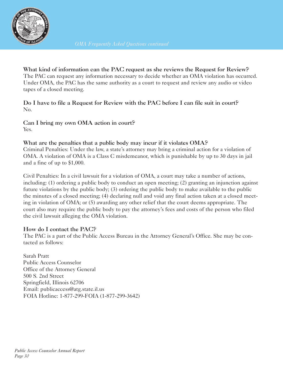

**What kind of information can the PAC request as she reviews the Request for Review?** The PAC can request any information necessary to decide whether an OMA violation has occurred. Under OMA, the PAC has the same authority as a court to request and review any audio or video tapes of a closed meeting.

**Do I have to file a Request for Review with the PAC before I can file suit in court?** No.

**Can I bring my own OMA action in court?** Yes.

## **What are the penalties that a public body may incur if it violates OMA?**

Criminal Penalties: Under the law, a state's attorney may bring a criminal action for a violation of OMA. A violation of OMA is a Class C misdemeanor, which is punishable by up to 30 days in jail and a fine of up to \$1,000.

Civil Penalties: In a civil lawsuit for a violation of OMA, a court may take a number of actions, including: (1) ordering a public body to conduct an open meeting; (2) granting an injunction against future violations by the public body; (3) ordering the public body to make available to the public the minutes of a closed meeting; (4) declaring null and void any final action taken at a closed meeting in violation of OMA; or (5) awarding any other relief that the court deems appropriate. The court also may require the public body to pay the attorney's fees and costs of the person who filed the civil lawsuit alleging the OMA violation.

## **How do I contact the PAC?**

The PAC is a part of the Public Access Bureau in the Attorney General's Office. She may be contacted as follows:

Sarah Pratt Public Access Counselor Office of the Attorney General 500 S. 2nd Street Springfield, Illinois 62706 Email: publicaccess@atg.state.il.us FOIA Hotline: 1-877-299-FOIA (1-877-299-3642)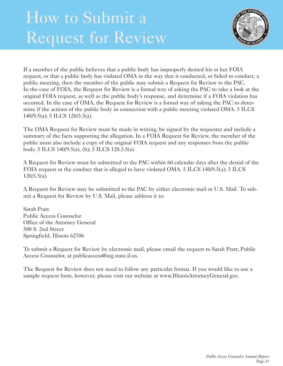## How to Submit a Request for Review



If a member of the public believes that a public body has improperly denied his or her FOIA request, or that a public body has violated OMA in the way that it conducted, or failed to conduct, a public meeting, then the member of the public may submit a Request for Review to the PAC. In the case of FOIA, the Request for Review is a formal way of asking the PAC to take a look at the original FOIA request, as well as the public body's response, and determine if a FOIA violation has occurred. In the case of OMA, the Request for Review is a formal way of asking the PAC to determine if the actions of the public body in connection with a public meeting violated OMA. 5 ILCS 140/9.5(a); 5 ILCS 120/3.5(a).

The OMA Request for Review must be made in writing, be signed by the requester and include a summary of the facts supporting the allegation. In a FOIA Request for Review, the member of the public must also include a copy of the original FOIA request and any responses from the public body. 5 ILCS 140/9.5(a), (b); 5 ILCS 120.3.5(a).

A Request for Review must be submitted to the PAC within 60 calendar days after the denial of the FOIA request or the conduct that is alleged to have violated OMA. 5 ILCS 140/9.5(a); 5 ILCS  $120/3.5(a)$ .

A Request for Review may be submitted to the PAC by either electronic mail or U.S. Mail. To submit a Request for Review by U.S. Mail, please address it to:

Sarah Pratt Public Access Counselor Office of the Attorney General 500 S. 2nd Street Springfield, Illinois 62706

To submit a Request for Review by electronic mail, please email the request to Sarah Pratt, Public Access Counselor, at publicaccess@atg.state.il.us.

The Request for Review does not need to follow any particular format. If you would like to use a sample request form, however, please visit our website at www.IllinoisAttorneyGeneral.gov.